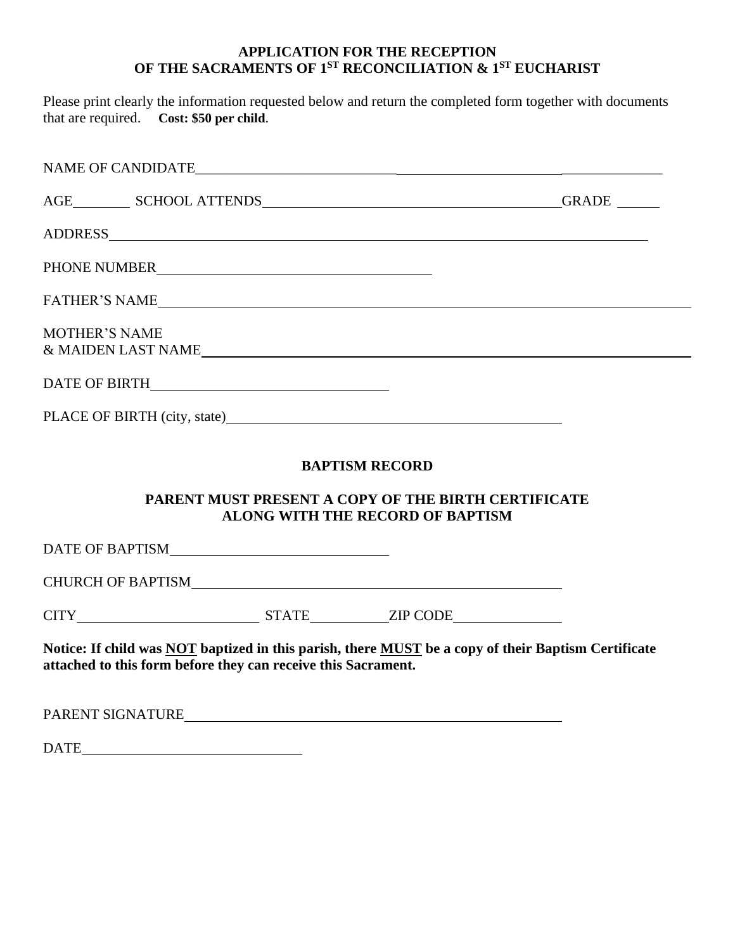## **APPLICATION FOR THE RECEPTION OF THE SACRAMENTS OF 1ST RECONCILIATION & 1ST EUCHARIST**

Please print clearly the information requested below and return the completed form together with documents that are required. **Cost: \$50 per child**.

|                                                                                                                                                                                                                                | GRADE |
|--------------------------------------------------------------------------------------------------------------------------------------------------------------------------------------------------------------------------------|-------|
| ADDRESS AND ARRIVE AND A CONTROL OF THE SAME AND THE SAME AND THE SAME ASSESSED AND A CONTROL OF THE SAME AND THE SAME ASSESSED AND A CONTROL OF THE SAME AND THE SAME ASSESSED AND A CONTROL OF THE SAME ASSESSED AND A CONTR |       |
| PHONE NUMBER                                                                                                                                                                                                                   |       |
|                                                                                                                                                                                                                                |       |
| <b>MOTHER'S NAME</b><br>& MAIDEN LAST NAME                                                                                                                                                                                     |       |
|                                                                                                                                                                                                                                |       |
|                                                                                                                                                                                                                                |       |
| <b>BAPTISM RECORD</b><br><b>PARENT MUST PRESENT A COPY OF THE BIRTH CERTIFICATE</b>                                                                                                                                            |       |
| <b>ALONG WITH THE RECORD OF BAPTISM</b>                                                                                                                                                                                        |       |

DATE OF BAPTISM

CHURCH OF BAPTISM

CITY STATE ZIP CODE

**Notice: If child was NOT baptized in this parish, there MUST be a copy of their Baptism Certificate attached to this form before they can receive this Sacrament.** 

PARENT SIGNATURE

DATE **DATE**